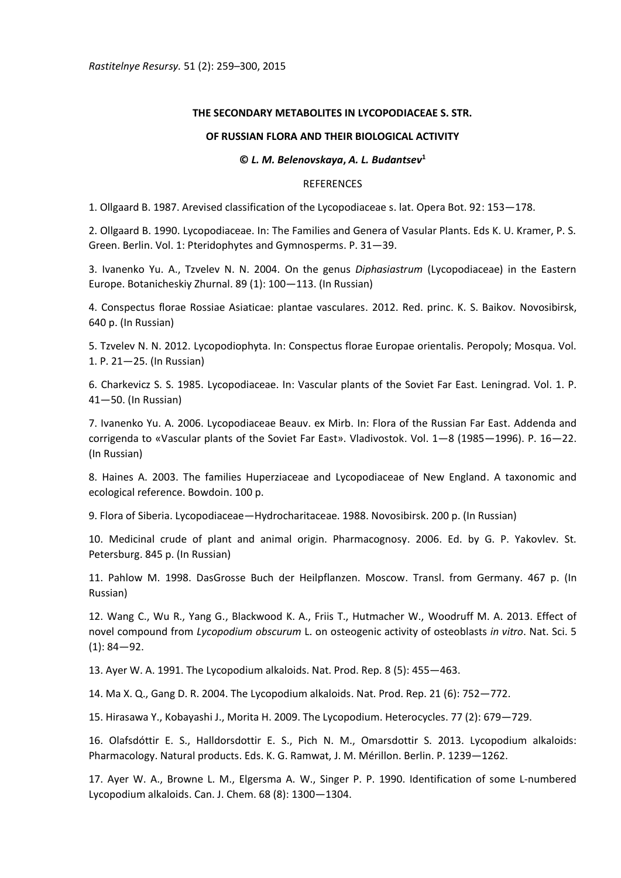## **THE SECONDARY METABOLITES IN LYCOPODIACEAE S. STR.**

## **OF RUSSIAN FLORA AND THEIR BIOLOGICAL ACTIVITY**

## **©** *L. M. Belenovskaya***,** *A. L. Budantsev***<sup>1</sup>**

## REFERENCES

1. Οllgaard B. 1987. Arevised classification of the Lycopodiaceae s. lat. Opera Bot. 92: 153—178.

2. Οllgaard B. 1990. Lycopodiaceae. In: The Families and Genera of Vasular Plants. Eds K. U. Kramer, P. S. Green. Berlin. Vol. 1: Pteridophytes and Gymnosperms. P. 31—39.

3. Ivanenko Yu. A., Tzvelev N. N. 2004. On the genus *Diphasiastrum* (Lycopodiaceae) in the Eastern Europe. Botanicheskiy Zhurnal. 89 (1): 100—113. (In Russian)

4. Conspectus florae Rossiae Asiaticae: plantae vasculares. 2012. Red. princ. K. S. Baikov. Novosibirsk, 640 p. (In Russian)

5. Tzvelev N. N. 2012. Lycopodiophyta. In: Conspectus florae Europae orientalis. Peropoly; Mosqua. Vol. 1. P. 21—25. (In Russian)

6. Charkevicz S. S. 1985. Lycopodiaceae. In: Vascular plants of the Soviet Far East. Leningrad. Vol. 1. P. 41—50. (In Russian)

7. Ivanenko Yu. A. 2006. Lycopodiaceae Beauv. ex Mirb. In: Flora of the Russian Far East. Addenda and corrigenda to «Vascular plants of the Soviet Far East». Vladivostok. Vol. 1—8 (1985—1996). P. 16—22. (In Russian)

8. Haines A. 2003. The families Huperziaceae and Lycopodiaceae of New England. A taxonomic and ecological reference. Bowdoin. 100 p.

9. Flora of Siberia. Lycopodiaceae—Hydrocharitaceae. 1988. Novosibirsk. 200 p. (In Russian)

10. Medicinal crude of plant and animal origin. Pharmacognosy. 2006. Ed. by G. P. Yakovlev. St. Petersburg. 845 p. (In Russian)

11. Pahlow M. 1998. DasGrosse Buch der Heilpflanzen. Moscow. Transl. from Germany. 467 p. (In Russian)

12. Wang C., Wu R., Yang G., Blackwood K. A., Friis T., Hutmacher W., Woodruff M. A. 2013. Effect of novel compound from *Lycopodium obscurum* L. on osteogenic activity of osteoblasts *in vitro*. Nat. Sci. 5  $(1): 84 - 92.$ 

13. Ayer W. A. 1991. The Lycopodium alkaloids. Nat. Prod. Rep. 8 (5): 455—463.

14. Ma X. Q., Gang D. R. 2004. The Lycopodium alkaloids. Nat. Prod. Rep. 21 (6): 752—772.

15. Hirasawa Y., Kobayashi J., Morita H. 2009. The Lycopodium. Heterocycles. 77 (2): 679—729.

16. Olafsdóttir E. S., Halldorsdottir E. S., Pich N. M., Omarsdottir S. 2013. Lycopodium alkaloids: Pharmacology. Natural products. Eds. K. G. Ramwat, J. M. Mérillon. Berlin. P. 1239—1262.

17. Ayer W. A., Browne L. M., Elgersma A. W., Singer P. P. 1990. Identification of some L-numbered Lycopodium alkaloids. Can. J. Chem. 68 (8): 1300—1304.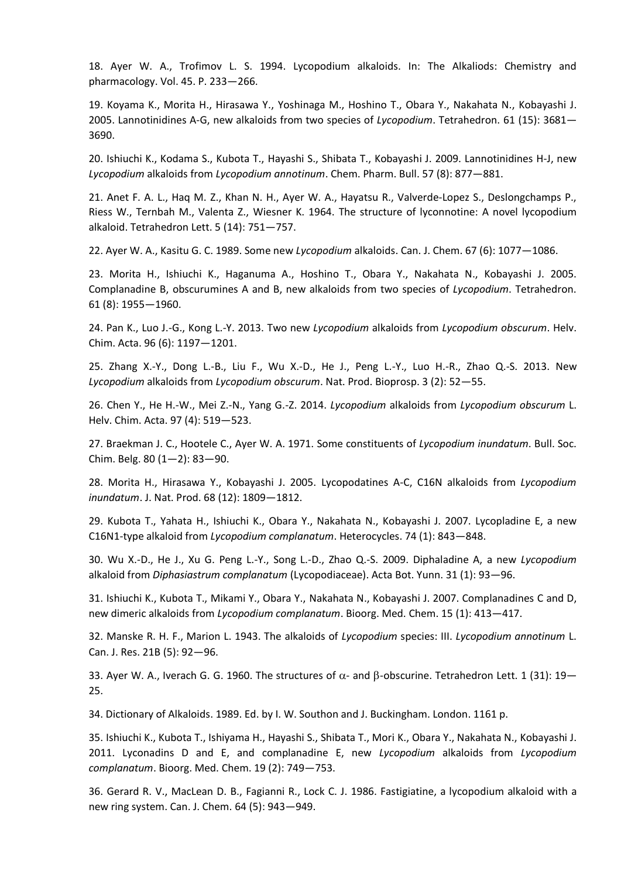18. Ayer W. A., Trofimov L. S. 1994. Lycopodium alkaloids. In: The Alkaliods: Chemistry and pharmacology. Vol. 45. P. 233—266.

19. Koyama K., Morita H., Hirasawa Y., Yoshinaga M., Hoshino T., Obara Y., Nakahata N., Kobayashi J. 2005. Lannotinidines A-G, new alkaloids from two species of *Lycopodium*. Tetrahedron. 61 (15): 3681— 3690.

20. Ishiuchi K., Kodama S., Kubota T., Hayashi S., Shibata T., Kobayashi J. 2009. Lannotinidines H-J, new *Lycopodium* alkaloids from *Lycopodium annotinum*. Chem. Pharm. Bull. 57 (8): 877—881.

21. Anet F. A. L., Haq M. Z., Khan N. H., Ayer W. A., Hayatsu R., Valverde-Lopez S., Deslongchamps P., Riess W., Ternbah M., Valenta Z., Wiesner K. 1964. The structure of lyconnotine: A novel lycopodium alkaloid. Tetrahedron Lett. 5 (14): 751—757.

22. Ayer W. A., Kasitu G. C. 1989. Some new *Lycopodium* alkaloids. Can. J. Chem. 67 (6): 1077—1086.

23. Morita H., Ishiuchi K., Haganuma A., Hoshino T., Obara Y., Nakahata N., Kobayashi J. 2005. Complanadine B, obscurumines A and B, new alkaloids from two species of *Lycopodium*. Tetrahedron. 61 (8): 1955—1960.

24. Pan K., Luo J.-G., Kong L.-Y. 2013. Two new *Lycopodium* alkaloids from *Lycopodium obscurum*. Helv. Chim. Acta. 96 (6): 1197—1201.

25. Zhang X.-Y., Dong L.-B., Liu F., Wu X.-D., He J., Peng L.-Y., Luo H.-R., Zhao Q.-S. 2013. New *Lycopodium* alkaloids from *Lycopodium obscurum*. Nat. Prod. Bioprosp. 3 (2): 52—55.

26. Chen Y., He H.-W., Mei Z.-N., Yang G.-Z. 2014. *Lycopodium* alkaloids from *Lycopodium obscurum* L. Helv. Chim. Acta. 97 (4): 519—523.

27. Braekman J. C., Hootele C., Ayer W. A. 1971. Some constituents of *Lycopodium inundatum*. Bull. Soc. Chim. Belg. 80 (1—2): 83—90.

28. Morita H., Hirasawa Y., Kobayashi J. 2005. Lycopodatines A-C, C16N alkaloids from *Lycopodium inundatum*. J. Nat. Prod. 68 (12): 1809—1812.

29. Kubota T., Yahata H., Ishiuchi K., Obara Y., Nakahata N., Kobayashi J. 2007. Lycopladine E, a new C16N1-type alkaloid from *Lycopodium complanatum*. Heterocycles. 74 (1): 843—848.

30. Wu X.-D., He J., Xu G. Peng L.-Y., Song L.-D., Zhao Q.-S. 2009. Diphaladine A, a new *Lycopodium* alkaloid from *Diphasiastrum complanatum* (Lycopodiaceae). Acta Bot. Yunn. 31 (1): 93—96.

31. Ishiuchi K., Kubota T., Mikami Y., Obara Y., Nakahata N., Kobayashi J. 2007. Complanadines C and D, new dimeric alkaloids from *Lycopodium complanatum*. Bioorg. Med. Chem. 15 (1): 413—417.

32. Manske R. H. F., Marion L. 1943. The alkaloids of *Lycopodium* species: III. *Lycopodium annotinum* L. Can. J. Res. 21B (5): 92—96.

33. Ayer W. A., Iverach G. G. 1960. The structures of  $\alpha$ - and  $\beta$ -obscurine. Tetrahedron Lett. 1 (31): 19-25.

34. Dictionary of Alkaloids. 1989. Ed. by I. W. Southon and J. Buckingham. London. 1161 p.

35. Ishiuchi K., Kubota T., Ishiyama H., Hayashi S., Shibata T., Mori K., Obara Y., Nakahata N., Kobayashi J. 2011. Lyconadins D and E, and complanadine E, new *Lycopodium* alkaloids from *Lycopodium complanatum*. Bioorg. Med. Chem. 19 (2): 749—753.

36. Gerard R. V., MacLean D. B., Fagianni R., Lock C. J. 1986. Fastigiatine, a lycopodium alkaloid with a new ring system. Can. J. Chem. 64 (5): 943—949.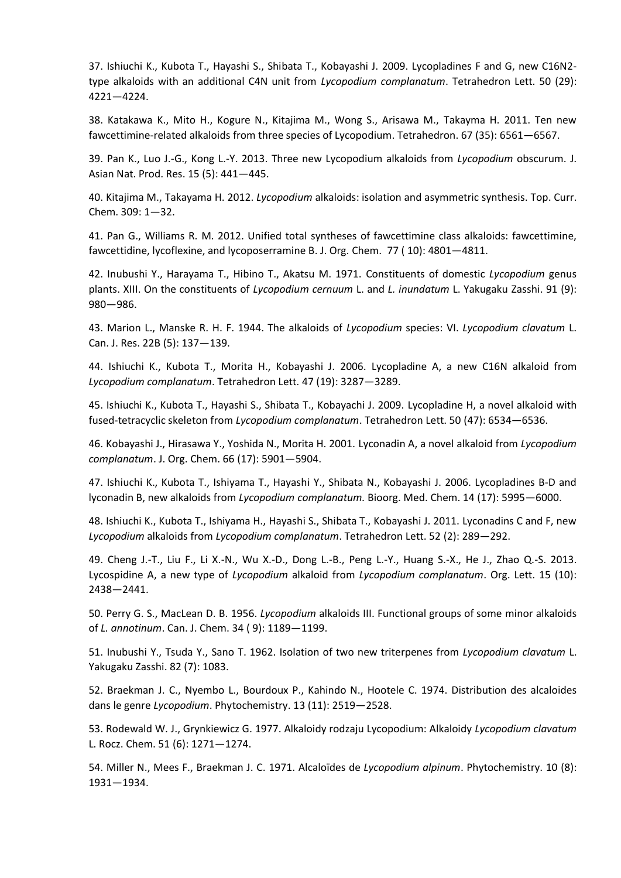37. Ishiuchi K., Kubota T., Hayashi S., Shibata T., Kobayashi J. 2009. Lycopladines F and G, new C16N2 type alkaloids with an additional C4N unit from *Lycopodium complanatum*. Tetrahedron Lett. 50 (29): 4221—4224.

38. Katakawa K., Mito H., Kogure N., Kitajima M., Wong S., Arisawa M., Takayma H. 2011. Ten new fawcettimine-related alkaloids from three species of Lycopodium. Tetrahedron. 67 (35): 6561—6567.

39. Pan K., Luo J.-G., Kong L.-Y. 2013. Three new Lycopodium alkaloids from *Lycopodium* obscurum. J. Asian Nat. Prod. Res. 15 (5): 441—445.

40. Kitajima M., Takayama H. 2012. *Lycopodium* alkaloids: isolation and asymmetric synthesis. Top. Curr. Chem. 309: 1—32.

41. Pan G., Williams R. M. 2012. Unified total syntheses of fawcettimine class alkaloids: fawcettimine, fawcettidine, lycoflexine, and lycoposerramine B. J. Org. Chem. 77 ( 10): 4801—4811.

42. Inubushi Y., Harayama T., Hibino T., Akatsu M. 1971. Constituents of domestic *Lycopodium* genus plants. XIII. On the constituents of *Lycopodium cernuum* L. and *L. inundatum* L. Yakugaku Zasshi. 91 (9): 980—986.

43. Marion L., Manske R. H. F. 1944. The alkaloids of *Lycopodium* species: VI. *Lycopodium clavatum* L. Can. J. Res. 22B (5): 137—139.

44. Ishiuchi K., Kubota T., Morita H., Kobayashi J. 2006. Lycopladine A, a new C16N alkaloid from *Lycopodium complanatum*. Tetrahedron Lett. 47 (19): 3287—3289.

45. Ishiuchi K., Kubota T., Hayashi S., Shibata T., Kobayachi J. 2009. Lycopladine H, a novel alkaloid with fused-tetracyclic skeleton from *Lycopodium complanatum*. Tetrahedron Lett. 50 (47): 6534—6536.

46. Kobayashi J., Hirasawa Y., Yoshida N., Morita H. 2001. Lyconadin A, a novel alkaloid from *Lycopodium complanatum*. J. Org. Chem. 66 (17): 5901—5904.

47. Ishiuchi K., Kubota T., Ishiyama T., Hayashi Y., Shibata N., Kobayashi J. 2006. Lycopladines B-D and lyconadin B, new alkaloids from *Lycopodium complanatum.* Bioorg. Med. Chem. 14 (17): 5995—6000.

48. Ishiuchi K., Kubota T., Ishiyama H., Hayashi S., Shibata T., Kobayashi J. 2011. Lyconadins C and F, new *Lycopodium* alkaloids from *Lycopodium complanatum*. Tetrahedron Lett. 52 (2): 289—292.

49. Cheng J.-T., Liu F., Li X.-N., Wu X.-D., Dong L.-B., Peng L.-Y., Huang S.-X., He J., Zhao Q.-S. 2013. Lycospidine A, a new type of *Lycopodium* alkaloid from *Lycopodium complanatum*. Org. Lett. 15 (10): 2438—2441.

50. Perry G. S., MacLean D. B. 1956. *Lycopodium* alkaloids III. Functional groups of some minor alkaloids of *L. annotinum*. Can. J. Chem. 34 ( 9): 1189—1199.

51. Inubushi Y., Tsuda Y., Sano T. 1962. Isolation of two new triterpenes from *Lycopodium clavatum* L. Yakugaku Zasshi. 82 (7): 1083.

52. Braekman J. C., Nyembo L., Bourdoux P., Kahindo N., Hootele C. 1974. Distribution des alcaloides dans le genre *Lycopodium*. Phytochemistry. 13 (11): 2519—2528.

53. Rodewald W. J., Grynkiewicz G. 1977. Alkaloidy rodzaju Lycopodium: Alkaloidy *Lycopodium clavatum* L. Rocz. Chem. 51 (6): 1271—1274.

54. Miller N., Mees F., Braekman J. C. 1971. Alcaloїdes de *Lycopodium alpinum*. Phytochemistry. 10 (8): 1931—1934.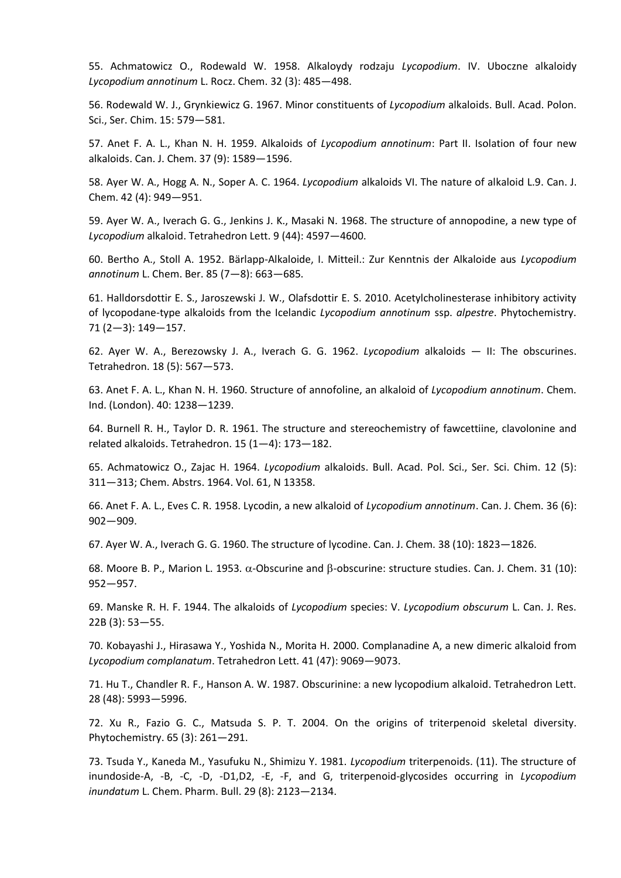55. Achmatowicz O., Rodewald W. 1958. Alkaloydy rodzaju *Lycopodium*. IV. Uboczne alkaloidy *Lycopodium annotinum* L. Rocz. Chem. 32 (3): 485—498.

56. Rodewald W. J., Grynkiewicz G. 1967. Minor constituents of *Lycopodium* alkaloids. Bull. Acad. Polon. Sci., Ser. Chim. 15: 579—581.

57. Anet F. A. L., Khan N. H. 1959. Alkaloids of *Lycopodium annotinum*: Part II. Isolation of four new alkaloids. Can. J. Chem. 37 (9): 1589—1596.

58. Ayer W. A., Hogg A. N., Soper A. C. 1964. *Lycopodium* alkaloids VI. The nature of alkaloid L.9. Can. J. Chem. 42 (4): 949—951.

59. Ayer W. A., Iverach G. G., Jenkins J. K., Masaki N. 1968. The structure of annopodine, a new type of *Lycopodium* alkaloid. Tetrahedron Lett. 9 (44): 4597—4600.

60. Bertho A., Stoll A. 1952. Bärlapp-Alkaloide, I. Mitteil.: Zur Kenntnis der Alkaloide aus *Lycopodium annotinum* L. Chem. Ber. 85 (7—8): 663—685.

61. Halldorsdottir E. S., Jaroszewski J. W., Olafsdottir E. S. 2010. Acetylcholinesterase inhibitory activity of lycopodane-type alkaloids from the Icelandic *Lycopodium annotinum* ssp. *alpestre*. Phytochemistry. 71 (2—3): 149—157.

62. Ayer W. A., Berezowsky J. A., Iverach G. G. 1962. *Lycopodium* alkaloids — II: The obscurines. Tetrahedron. 18 (5): 567—573.

63. Anet F. A. L., Khan N. H. 1960. Structure of annofoline, an alkaloid of *Lycopodium annotinum*. Chem. Ind. (London). 40: 1238—1239.

64. Burnell R. H., Taylor D. R. 1961. The structure and stereochemistry of fawcettiine, clavolonine and related alkaloids. Tetrahedron. 15 (1—4): 173—182.

65. Achmatowicz O., Zajac H. 1964. *Lycopodium* alkaloids. Bull. Acad. Pol. Sci., Ser. Sci. Chim. 12 (5): 311—313; Chem. Abstrs. 1964. Vol. 61, N 13358.

66. Anet F. A. L., Eves C. R. 1958. Lycodin, a new alkaloid of *Lycopodium annotinum*. Can. J. Chem. 36 (6): 902—909.

67. Ayer W. A., Iverach G. G. 1960. The structure of lycodine. Can. J. Chem. 38 (10): 1823—1826.

68. Moore B. P., Marion L. 1953.  $\alpha$ -Obscurine and  $\beta$ -obscurine: structure studies. Can. J. Chem. 31 (10): 952—957.

69. Manske R. H. F. 1944. The alkaloids of *Lycopodium* species: V. *Lycopodium obscurum* L. Can. J. Res. 22B (3): 53—55.

70. Kobayashi J., Hirasawa Y., Yoshida N., Morita H. 2000. Complanadine A, a new dimeric alkaloid from *Lycopodium complanatum*. Tetrahedron Lett. 41 (47): 9069—9073.

71. Hu T., Chandler R. F., Hanson A. W. 1987. Obscurinine: a new lycopodium alkaloid. Tetrahedron Lett. 28 (48): 5993—5996.

72. Xu R., Fazio G. C., Matsuda S. P. T. 2004. On the origins of triterpenoid skeletal diversity. Phytochemistry. 65 (3): 261—291.

73. Tsuda Y., Kaneda M., Yasufuku N., Shimizu Y. 1981. *Lycopodium* triterpenoids. (11). The structure of inundoside-A, -B, -C, -D, -D1,D2, -E, -F, and G, triterpenoid-glycosides occurring in *Lycopodium inundatum* L. Chem. Pharm. Bull. 29 (8): 2123—2134.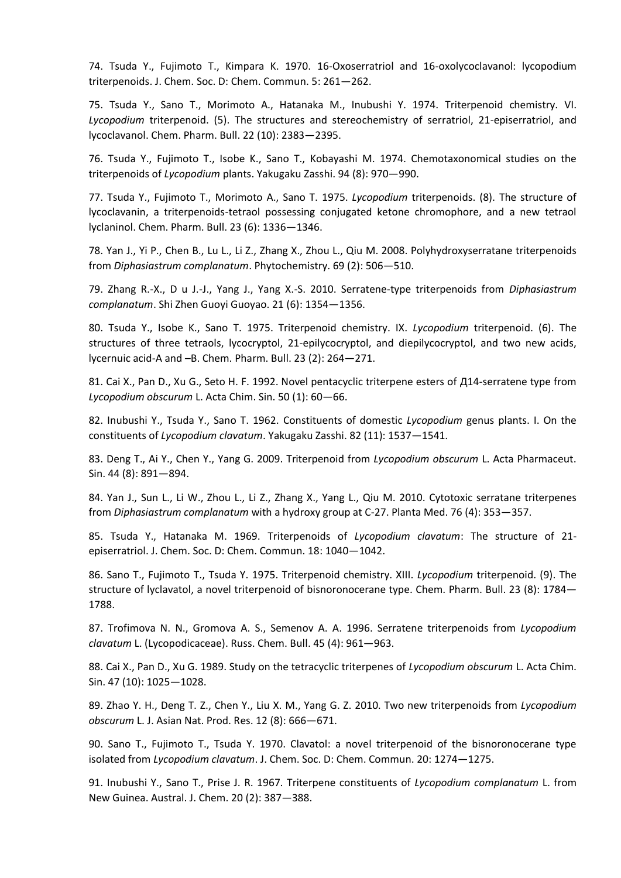74. Tsuda Y., Fujimoto T., Kimpara K. 1970. 16-Oxoserratriol and 16-oxolycoclavanol: lycopodium triterpenoids. J. Chem. Soc. D: Chem. Commun. 5: 261—262.

75. Tsuda Y., Sano T., Morimoto A., Hatanaka M., Inubushi Y. 1974. Triterpenoid chemistry. VI. *Lycopodium* triterpenoid. (5). The structures and stereochemistry of serratriol, 21-episerratriol, and lycoclavanol. Chem. Pharm. Bull. 22 (10): 2383—2395.

76. Tsuda Y., Fujimoto T., Isobe K., Sano T., Kobayashi M. 1974. Chemotaxonomical studies on the triterpenoids of *Lycopodium* plants. Yakugaku Zasshi. 94 (8): 970—990.

77. Tsuda Y., Fujimoto T., Morimoto A., Sano T. 1975. *Lycopodium* triterpenoids. (8). The structure of lycoclavanin, a triterpenoids-tetraol possessing conjugated ketone chromophore, and a new tetraol lyclaninol. Chem. Pharm. Bull. 23 (6): 1336—1346.

78. Yan J., Yi P., Chen B., Lu L., Li Z., Zhang X., Zhou L., Qiu M. 2008. Polyhydroxyserratane triterpenoids from *Diphasiastrum complanatum*. Phytochemistry. 69 (2): 506—510.

79. Zhang R.-X., D u J.-J., Yang J., Yang X.-S. 2010. Serratene-type triterpenoids from *Diphasiastrum complanatum*. Shi Zhen Guoyi Guoyao. 21 (6): 1354—1356.

80. Tsuda Y., Isobe K., Sano T. 1975. Triterpenoid chemistry. IX. *Lycopodium* triterpenoid. (6). The structures of three tetraols, lycocryptol, 21-epilycocryptol, and diepilycocryptol, and two new acids, lycernuic acid-A and –B. Chem. Pharm. Bull. 23 (2): 264—271.

81. Cai X., Pan D., Xu G., Seto H. F. 1992. Novel pentacyclic triterpene esters of Д14-serratene type from *Lycopodium obscurum* L. Acta Chim. Sin. 50 (1): 60—66.

82. Inubushi Y., Tsuda Y., Sano T. 1962. Constituents of domestic *Lycopodium* genus plants. I. On the constituents of *Lycopodium clavatum*. Yakugaku Zasshi. 82 (11): 1537—1541.

83. Deng T., Ai Y., Chen Y., Yang G. 2009. Triterpenoid from *Lycopodium obscurum* L. Acta Pharmaceut. Sin. 44 (8): 891—894.

84. Yan J., Sun L., Li W., Zhou L., Li Z., Zhang X., Yang L., Qiu M. 2010. Cytotoxic serratane triterpenes from *Diphasiastrum complanatum* with a hydroxy group at C-27. Planta Med. 76 (4): 353—357.

85. Tsuda Y., Hatanaka M. 1969. Triterpenoids of *Lycopodium clavatum*: The structure of 21 episerratriol. J. Chem. Soc. D: Chem. Commun. 18: 1040—1042.

86. Sano T., Fujimoto T., Tsuda Y. 1975. Triterpenoid chemistry. XIII. *Lycopodium* triterpenoid. (9). The structure of lyclavatol, a novel triterpenoid of bisnoronocerane type. Chem. Pharm. Bull. 23 (8): 1784— 1788.

87. Trofimova N. N., Gromova A. S., Semenov A. A. 1996. Serratene triterpenoids from *Lycopodium clavatum* L. (Lycopodicaceae). Russ. Chem. Bull. 45 (4): 961—963.

88. Cai X., Pan D., Xu G. 1989. Study on the tetracyclic triterpenes of *Lycopodium obscurum* L. Acta Chim. Sin. 47 (10): 1025—1028.

89. Zhao Y. H., Deng T. Z., Chen Y., Liu X. M., Yang G. Z. 2010. Two new triterpenoids from *Lycopodium obscurum* L. J. Asian Nat. Prod. Res. 12 (8): 666—671.

90. Sano T., Fujimoto T., Tsuda Y. 1970. Clavatol: a novel triterpenoid of the bisnoronocerane type isolated from *Lycopodium clavatum*. J. Chem. Soc. D: Chem. Commun. 20: 1274—1275.

91. Inubushi Y., Sano T., Prise J. R. 1967. Triterpene constituents of *Lycopodium complanatum* L. from New Guinea. Austral. J. Chem. 20 (2): 387—388.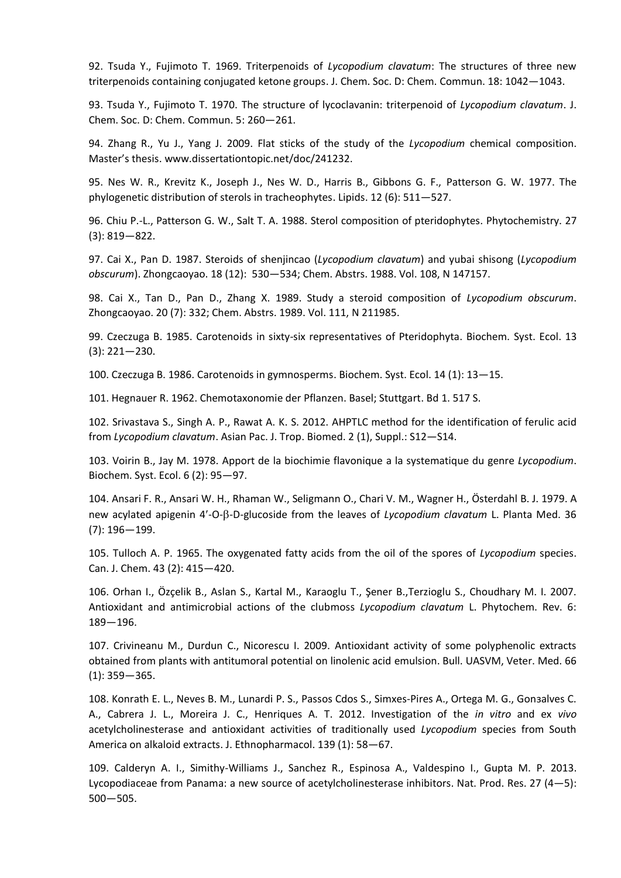92. Tsuda Y., Fujimoto T. 1969. Triterpenoids of *Lycopodium clavatum*: The structures of three new triterpenoids containing conjugated ketone groups. J. Chem. Soc. D: Chem. Commun. 18: 1042—1043.

93. Tsuda Y., Fujimoto T. 1970. The structure of lycoclavanin: triterpenoid of *Lycopodium clavatum*. J. Chem. Soc. D: Chem. Commun. 5: 260—261.

94. Zhang R., Yu J., Yang J. 2009. Flat sticks of the study of the *Lycopodium* chemical composition. Master's thesis. www.dissertationtopic.net/doc/241232.

95. Nes W. R., Krevitz K., Joseph J., Nes W. D., Harris B., Gibbons G. F., Patterson G. W. 1977. The phylogenetic distribution of sterols in tracheophytes. Lipids. 12 (6): 511—527.

96. Chiu P.-L., Patterson G. W., Salt T. A. 1988. Sterol composition of pteridophytes. Phytochemistry. 27 (3): 819—822.

97. Cai X., Pan D. 1987. Steroids of shenjincao (*Lycopodium clavatum*) and yubai shisong (*Lycopodium obscurum*). Zhongcaoyao. 18 (12): 530—534; Chem. Abstrs. 1988. Vol. 108, N 147157.

98. Cai X., Tan D., Pan D., Zhang X. 1989. Study a steroid composition of *Lycopodium obscurum*. Zhongcaoyao. 20 (7): 332; Chem. Abstrs. 1989. Vol. 111, N 211985.

99. Czeczuga B. 1985. Carotenoids in sixty-six representatives of Pteridophyta. Biochem. Syst. Ecol. 13 (3): 221—230.

100. Czeczuga B. 1986. Carotenoids in gymnosperms. Biochem. Syst. Ecol. 14 (1): 13—15.

101. Hegnauer R. 1962. Chemotaxonomie der Pflanzen. Basel; Stuttgart. Bd 1. 517 S.

102. Srivastava S., Singh A. P., Rawat A. K. S. 2012. AHPTLC method for the identification of ferulic acid from *Lycopodium clavatum*. Asian Pac. J. Trop. Biomed. 2 (1), Suppl.: S12—S14.

103. Voirin B., Jay M. 1978. Apport de la biochimie flavonique а la systematique du genre *Lycopodium*. Biochem. Syst. Ecol. 6 (2): 95—97.

104. Ansari F. R., Ansari W. H., Rhaman W., Seligmann O., Chari V. M., Wagner H., Österdahl B. J. 1979. A new acylated apigenin 4'-O-β-D-glucoside from the leaves of *Lycopodium clavatum* L. Planta Med. 36 (7): 196—199.

105. Tulloch A. P. 1965. The oxygenated fatty acids from the oil of the spores of *Lycopodium* species. Can. J. Chem. 43 (2): 415—420.

106. Orhan I., Özçelik B., Aslan S., Kartal M., Karaoglu T., Şener B.,Terzioglu S., Choudhary M. I. 2007. Antioxidant and antimicrobial actions of the clubmoss *Lycopodium clavatum* L. Phytochem. Rev. 6: 189—196.

107. Crivineanu M., Durdun C., Nicorescu I. 2009. Antioxidant activity of some polyphenolic extracts obtained from plants with antitumoral potential on linolenic acid emulsion. Bull. UASVM, Veter. Med. 66 (1): 359—365.

108. Konrath E. L., Neves B. M., Lunardi P. S., Passos Cdos S., Simхes-Pires A., Ortega M. G., Gonзalves C. A., Cabrera J. L., Moreira J. C., Henriques A. T. 2012. Investigation of the *in vitro* and ex *vivo* acetylcholinesterase and antioxidant activities of traditionally used *Lycopodium* species from South America on alkaloid extracts. J. Ethnopharmacol. 139 (1): 58—67.

109. Calderуn A. I., Simithy-Williams J., Sanchez R., Espinosa A., Valdespino I., Gupta M. P. 2013. Lycopodiaceae from Panama: a new source of acetylcholinesterase inhibitors. Nat. Prod. Res. 27 (4—5): 500—505.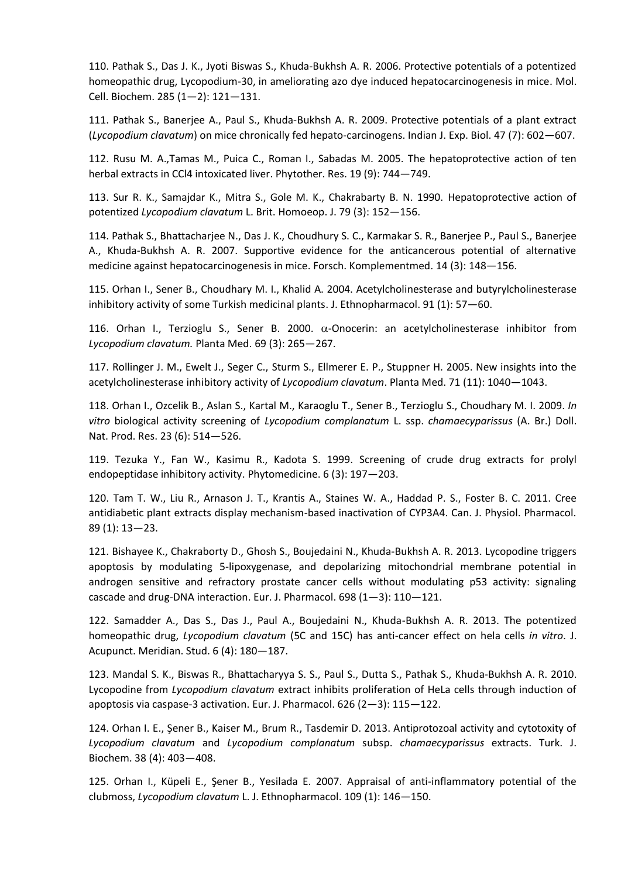110. Pathak S., Das J. K., Jyoti Biswas S., Khuda-Bukhsh A. R. 2006. Protective potentials of a potentized homeopathic drug, Lycopodium-30, in ameliorating azo dye induced hepatocarcinogenesis in mice. Mol. Cell. Biochem. 285 (1—2): 121—131.

111. Pathak S., Banerjee A., Paul S., Khuda-Bukhsh A. R. 2009. Protective potentials of a plant extract (*Lycopodium clavatum*) on mice chronically fed hepato-carcinogens. Indian J. Exp. Biol. 47 (7): 602—607.

112. Rusu M. A.,Tamas M., Puica C., Roman I., Sabadas M. 2005. The hepatoprotective action of ten herbal extracts in CCl4 intoxicated liver. Phytother. Res. 19 (9): 744—749.

113. Sur R. K., Samajdar K., Mitra S., Gole M. K., Chakrabarty B. N. 1990. Hepatoprotective action of potentized *Lycopodium clavatum* L. Brit. Homoeop. J. 79 (3): 152—156.

114. Pathak S., Bhattacharjee N., Das J. K., Choudhury S. C., Karmakar S. R., Banerjee P., Paul S., Banerjee A., Khuda-Bukhsh A. R. 2007. Supportive evidence for the anticancerous potential of alternative medicine against hepatocarcinogenesis in mice. Forsch. Komplementmed. 14 (3): 148—156.

115. Orhan I., Sener B., Choudhary M. I., Khalid A. 2004. Acetylcholinesterase and butyrylcholinesterase inhibitory activity of some Turkish medicinal plants. J. Ethnopharmacol. 91 (1): 57—60.

116. Orhan I., Terzioglu S., Sener B. 2000.  $\alpha$ -Onocerin: an acetylcholinesterase inhibitor from *Lycopodium clavatum.* Planta Med. 69 (3): 265—267.

117. Rollinger J. M., Ewelt J., Seger C., Sturm S., Ellmerer E. P., Stuppner H. 2005. New insights into the acetylcholinesterase inhibitory activity of *Lycopodium clavatum*. Planta Med. 71 (11): 1040—1043.

118. Orhan I., Ozcelik B., Aslan S., Kartal M., Karaoglu T., Sener B., Terzioglu S., Choudhary M. I. 2009. *In vitro* biological activity screening of *Lycopodium complanatum* L. ssp. *chamaecyparissus* (A. Br.) Doll. Nat. Prod. Res. 23 (6): 514—526.

119. Tezuka Y., Fan W., Kasimu R., Kadota S. 1999. Screening of crude drug extracts for prolyl endopeptidase inhibitory activity. Phytomedicine. 6 (3): 197—203.

120. Tam T. W., Liu R., Arnason J. T., Krantis A., Staines W. A., Haddad P. S., Foster B. C. 2011. Cree antidiabetic plant extracts display mechanism-based inactivation of CYP3A4. Can. J. Physiol. Pharmacol. 89 (1): 13—23.

121. Bishayee K., Chakraborty D., Ghosh S., Boujedaini N., Khuda-Bukhsh A. R. 2013. Lycopodine triggers apoptosis by modulating 5-lipoxygenase, and depolarizing mitochondrial membrane potential in androgen sensitive and refractory prostate cancer cells without modulating p53 activity: signaling cascade and drug-DNA interaction. Eur. J. Pharmacol. 698 (1—3): 110—121.

122. Samadder A., Das S., Das J., Paul A., Boujedaini N., Khuda-Bukhsh A. R. 2013. The potentized homeopathic drug, *Lycopodium clavatum* (5C and 15C) has anti-cancer effect on hela cells *in vitro*. J. Acupunct. Meridian. Stud. 6 (4): 180—187.

123. Mandal S. K., Biswas R., Bhattacharyya S. S., Paul S., Dutta S., Pathak S., Khuda-Bukhsh A. R. 2010. Lycopodine from *Lycopodium clavatum* extract inhibits proliferation of HeLa cells through induction of apoptosis via caspase-3 activation. Eur. J. Pharmacol. 626 (2—3): 115—122.

124. Orhan I. E., Şener B., Kaiser M., Brum R., Tasdemir D. 2013. Antiprotozoal activity and cytotoxity of *Lycopodium clavatum* and *Lycopodium complanatum* subsp. *chamaecyparissus* extracts. Turk. J. Biochem. 38 (4): 403—408.

125. Orhan I., Küpeli E., Şener B., Yesilada E. 2007. Appraisal of anti-inflammatory potential of the clubmoss, *Lycopodium clavatum* L. J. Ethnopharmacol. 109 (1): 146—150.